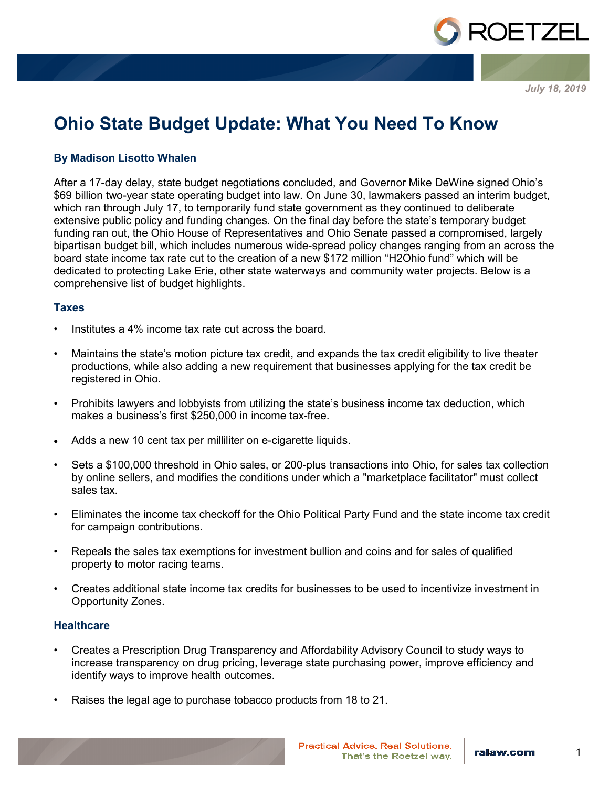

*July 18, 2019*

# **Ohio State Budget Update: What You Need To Know**

## **By Madison Lisotto Whalen**

After a 17-day delay, state budget negotiations concluded, and Governor Mike DeWine signed Ohio's \$69 billion two-year state operating budget into law. On June 30, lawmakers passed an interim budget, which ran through July 17, to temporarily fund state government as they continued to deliberate extensive public policy and funding changes. On the final day before the state's temporary budget funding ran out, the Ohio House of Representatives and Ohio Senate passed a compromised, largely bipartisan budget bill, which includes numerous wide-spread policy changes ranging from an across the board state income tax rate cut to the creation of a new \$172 million "H2Ohio fund" which will be dedicated to protecting Lake Erie, other state waterways and community water projects. Below is a comprehensive list of budget highlights.

#### **Taxes**

- Institutes a 4% income tax rate cut across the board.
- Maintains the state's motion picture tax credit, and expands the tax credit eligibility to live theater productions, while also adding a new requirement that businesses applying for the tax credit be registered in Ohio.
- Prohibits lawyers and lobbyists from utilizing the state's business income tax deduction, which makes a business's first \$250,000 in income tax-free.
- Adds a new 10 cent tax per milliliter on e-cigarette liquids.
- Sets a \$100,000 threshold in Ohio sales, or 200-plus transactions into Ohio, for sales tax collection by online sellers, and modifies the conditions under which a "marketplace facilitator" must collect sales tax.
- Eliminates the income tax checkoff for the Ohio Political Party Fund and the state income tax credit for campaign contributions.
- Repeals the sales tax exemptions for investment bullion and coins and for sales of qualified property to motor racing teams.
- Creates additional state income tax credits for businesses to be used to incentivize investment in Opportunity Zones.

## **Healthcare**

- Creates a Prescription Drug Transparency and Affordability Advisory Council to study ways to increase transparency on drug pricing, leverage state purchasing power, improve efficiency and identify ways to improve health outcomes.
- Raises the legal age to purchase tobacco products from 18 to 21.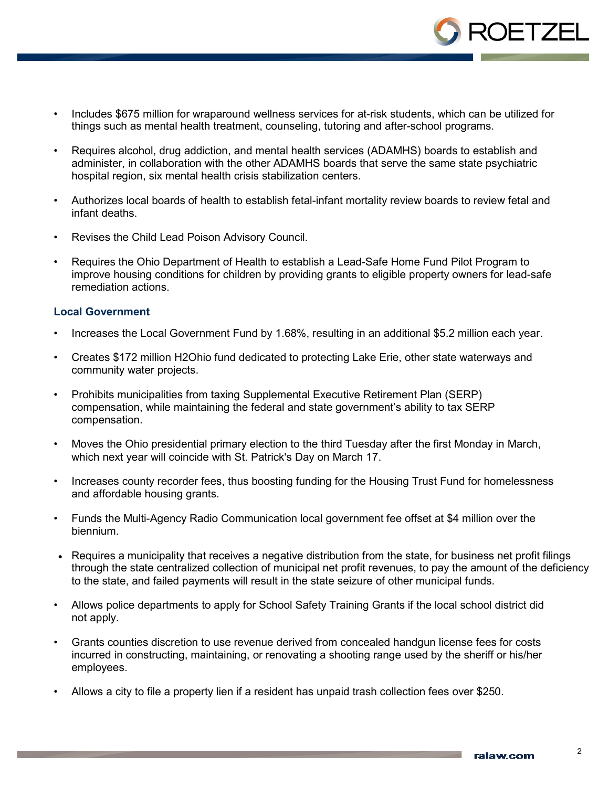

- Includes \$675 million for wraparound wellness services for at-risk students, which can be utilized for things such as mental health treatment, counseling, tutoring and after-school programs.
- Requires alcohol, drug addiction, and mental health services (ADAMHS) boards to establish and administer, in collaboration with the other ADAMHS boards that serve the same state psychiatric hospital region, six mental health crisis stabilization centers.
- Authorizes local boards of health to establish fetal-infant mortality review boards to review fetal and infant deaths.
- Revises the Child Lead Poison Advisory Council.
- Requires the Ohio Department of Health to establish a Lead-Safe Home Fund Pilot Program to improve housing conditions for children by providing grants to eligible property owners for lead-safe remediation actions.

## **Local Government**

- Increases the Local Government Fund by 1.68%, resulting in an additional \$5.2 million each year.
- Creates \$172 million H2Ohio fund dedicated to protecting Lake Erie, other state waterways and community water projects.
- Prohibits municipalities from taxing Supplemental Executive Retirement Plan (SERP) compensation, while maintaining the federal and state government's ability to tax SERP compensation.
- Moves the Ohio presidential primary election to the third Tuesday after the first Monday in March, which next year will coincide with St. Patrick's Day on March 17.
- Increases county recorder fees, thus boosting funding for the Housing Trust Fund for homelessness and affordable housing grants.
- Funds the Multi-Agency Radio Communication local government fee offset at \$4 million over the biennium.
- Requires a municipality that receives a negative distribution from the state, for business net profit filings through the state centralized collection of municipal net profit revenues, to pay the amount of the deficiency to the state, and failed payments will result in the state seizure of other municipal funds.
- Allows police departments to apply for School Safety Training Grants if the local school district did not apply.
- Grants counties discretion to use revenue derived from concealed handgun license fees for costs incurred in constructing, maintaining, or renovating a shooting range used by the sheriff or his/her employees.
- Allows a city to file a property lien if a resident has unpaid trash collection fees over \$250.